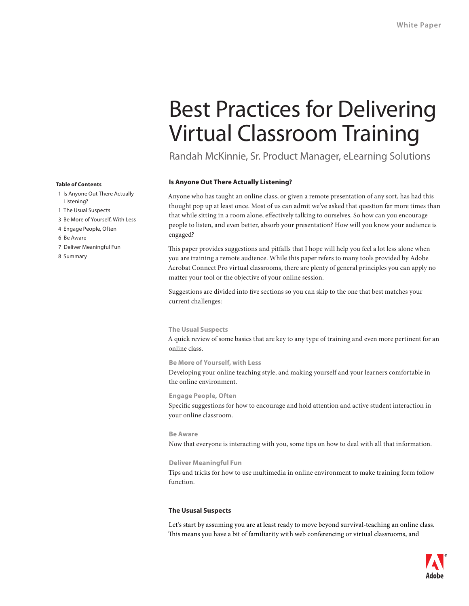# Best Practices for Delivering Virtual Classroom Training

Randah McKinnie, Sr. Product Manager, eLearning Solutions

# **Is Anyone Out There Actually Listening?**

Anyone who has taught an online class, or given a remote presentation of any sort, has had this thought pop up at least once. Most of us can admit we've asked that question far more times than that while sitting in a room alone, effectively talking to ourselves. So how can you encourage people to listen, and even better, absorb your presentation? How will you know your audience is engaged?

This paper provides suggestions and pitfalls that I hope will help you feel a lot less alone when you are training a remote audience. While this paper refers to many tools provided by Adobe Acrobat Connect Pro virtual classrooms, there are plenty of general principles you can apply no matter your tool or the objective of your online session.

Suggestions are divided into five sections so you can skip to the one that best matches your current challenges:

# **The Usual Suspects**

A quick review of some basics that are key to any type of training and even more pertinent for an online class.

# **Be More of Yourself, with Less**

Developing your online teaching style, and making yourself and your learners comfortable in the online environment.

# **Engage People, Often**

Specific suggestions for how to encourage and hold attention and active student interaction in your online classroom.

**Be Aware** Now that everyone is interacting with you, some tips on how to deal with all that information.

# **Deliver Meaningful Fun**

Tips and tricks for how to use multimedia in online environment to make training form follow function.

# **The Ususal Suspects**

Let's start by assuming you are at least ready to move beyond survival-teaching an online class. This means you have a bit of familiarity with web conferencing or virtual classrooms, and



#### **Table of Contents**

- 1 Is Anyone Out There Actually Listening?
- 1 The Usual Suspects
- 3 Be More of Yourself, With Less
- 4 Engage People, Often
- 6 Be Aware
- 7 Deliver Meaningful Fun
- 8 Summary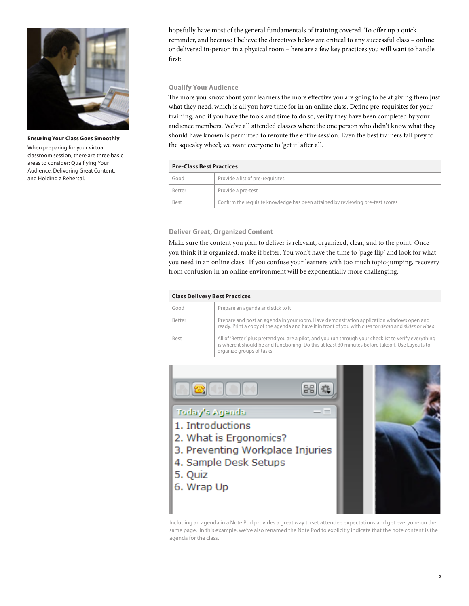

**Ensuring Your Class Goes Smoothly** When preparing for your virtual classroom session, there are three basic areas to consider: Qualfiying Your Audience, Delivering Great Content, and Holding a Rehersal.

hopefully have most of the general fundamentals of training covered. To offer up a quick reminder, and because I believe the directives below are critical to any successful class – online or delivered in-person in a physical room – here are a few key practices you will want to handle first:

# **Qualify Your Audience**

The more you know about your learners the more effective you are going to be at giving them just what they need, which is all you have time for in an online class. Define pre-requisites for your training, and if you have the tools and time to do so, verify they have been completed by your audience members. We've all attended classes where the one person who didn't know what they should have known is permitted to reroute the entire session. Even the best trainers fall prey to the squeaky wheel; we want everyone to 'get it' after all.

| <b>Pre-Class Best Practices</b> |                                                                                |  |
|---------------------------------|--------------------------------------------------------------------------------|--|
| Good                            | Provide a list of pre-requisites                                               |  |
| Better                          | Provide a pre-test                                                             |  |
| Best                            | Confirm the requisite knowledge has been attained by reviewing pre-test scores |  |

# **Deliver Great, Organized Content**

Make sure the content you plan to deliver is relevant, organized, clear, and to the point. Once you think it is organized, make it better. You won't have the time to 'page flip' and look for what you need in an online class. If you confuse your learners with too much topic-jumping, recovery from confusion in an online environment will be exponentially more challenging.

| <b>Class Delivery Best Practices</b> |                                                                                                                                                                                                                                         |  |
|--------------------------------------|-----------------------------------------------------------------------------------------------------------------------------------------------------------------------------------------------------------------------------------------|--|
| Good                                 | Prepare an agenda and stick to it.                                                                                                                                                                                                      |  |
| Better                               | Prepare and post an agenda in your room. Have demonstration application windows open and<br>ready. Print a copy of the agenda and have it in front of you with cues for <i>demo</i> and <i>slides</i> or <i>video</i> .                 |  |
| Best                                 | All of 'Better' plus pretend you are a pilot, and you run through your checklist to verify everything<br>is where it should be and functioning. Do this at least 30 minutes before takeoff. Use Layouts to<br>organize groups of tasks. |  |



Including an agenda in a Note Pod provides a great way to set attendee expectations and get everyone on the same page. In this example, we've also renamed the Note Pod to explicitly indicate that the note content is the agenda for the class.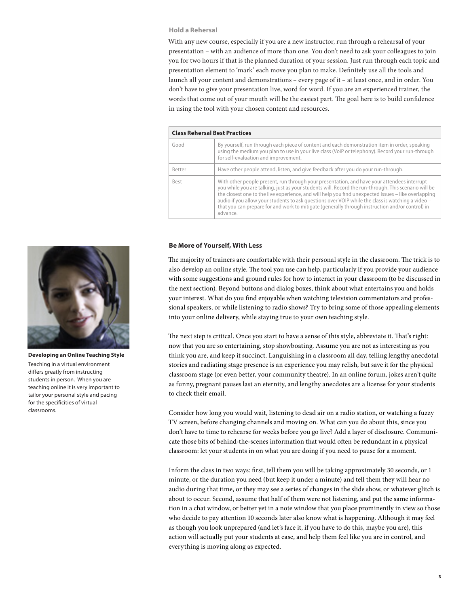# **Hold a Rehersal**

With any new course, especially if you are a new instructor, run through a rehearsal of your presentation – with an audience of more than one. You don't need to ask your colleagues to join you for two hours if that is the planned duration of your session. Just run through each topic and presentation element to 'mark' each move you plan to make. Definitely use all the tools and launch all your content and demonstrations – every page of it – at least once, and in order. You don't have to give your presentation live, word for word. If you are an experienced trainer, the words that come out of your mouth will be the easiest part. The goal here is to build confidence in using the tool with your chosen content and resources.

| <b>Class Rehersal Best Practices</b> |                                                                                                                                                                                                                                                                                                                                                                                                                                                                                                                                |  |
|--------------------------------------|--------------------------------------------------------------------------------------------------------------------------------------------------------------------------------------------------------------------------------------------------------------------------------------------------------------------------------------------------------------------------------------------------------------------------------------------------------------------------------------------------------------------------------|--|
| Good                                 | By yourself, run through each piece of content and each demonstration item in order, speaking<br>using the medium you plan to use in your live class (VoiP or telephony). Record your run-through<br>for self-evaluation and improvement.                                                                                                                                                                                                                                                                                      |  |
| Better                               | Have other people attend, listen, and give feedback after you do your run-through.                                                                                                                                                                                                                                                                                                                                                                                                                                             |  |
| Best                                 | With other people present, run through your presentation, and have your attendees interrupt<br>you while you are talking, just as your students will. Record the run-through. This scenario will be<br>the closest one to the live experience, and will help you find unexpected issues – like overlapping<br>audio if you allow your students to ask questions over VOIP while the class is watching a video -<br>that you can prepare for and work to mitigate (generally through instruction and/or control) in<br>advance. |  |

#### **Be More of Yourself, With Less**

The majority of trainers are comfortable with their personal style in the classroom. The trick is to also develop an online style. The tool you use can help, particularly if you provide your audience with some suggestions and ground rules for how to interact in your classroom (to be discussed in the next section). Beyond buttons and dialog boxes, think about what entertains you and holds your interest. What do you find enjoyable when watching television commentators and professional speakers, or while listening to radio shows? Try to bring some of those appealing elements into your online delivery, while staying true to your own teaching style.

The next step is critical. Once you start to have a sense of this style, abbreviate it. That's right: now that you are so entertaining, stop showboating. Assume you are not as interesting as you think you are, and keep it succinct. Languishing in a classroom all day, telling lengthy anecdotal stories and radiating stage presence is an experience you may relish, but save it for the physical classroom stage (or even better, your community theatre). In an online forum, jokes aren't quite as funny, pregnant pauses last an eternity, and lengthy anecdotes are a license for your students to check their email.

Consider how long you would wait, listening to dead air on a radio station, or watching a fuzzy TV screen, before changing channels and moving on. What can you do about this, since you don't have to time to rehearse for weeks before you go live? Add a layer of disclosure. Communicate those bits of behind-the-scenes information that would often be redundant in a physical classroom: let your students in on what you are doing if you need to pause for a moment.

Inform the class in two ways: first, tell them you will be taking approximately 30 seconds, or 1 minute, or the duration you need (but keep it under a minute) and tell them they will hear no audio during that time, or they may see a series of changes in the slide show, or whatever glitch is about to occur. Second, assume that half of them were not listening, and put the same information in a chat window, or better yet in a note window that you place prominently in view so those who decide to pay attention 10 seconds later also know what is happening. Although it may feel as though you look unprepared (and let's face it, if you have to do this, maybe you are), this action will actually put your students at ease, and help them feel like you are in control, and everything is moving along as expected.



**Developing an Online Teaching Style** Teaching in a virtual environment differs greatly from instructing students in person. When you are teaching online it is very important to tailor your personal style and pacing for the specificities of virtual classrooms.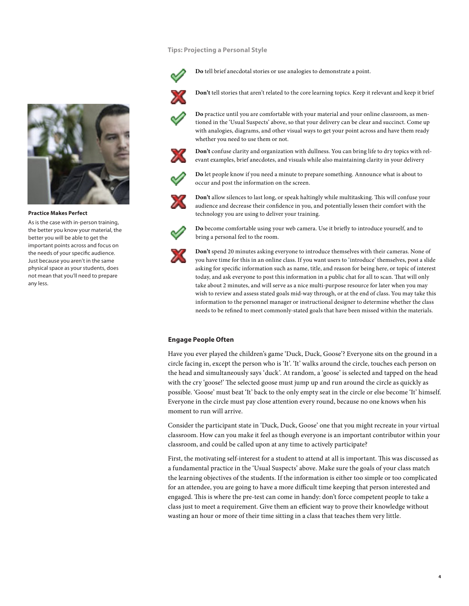# **Tips: Projecting a Personal Style**



**Do** tell brief anecdotal stories or use analogies to demonstrate a point.



**Don't** tell stories that aren't related to the core learning topics. Keep it relevant and keep it brief



**Practice Makes Perfect**

As is the case with in-person training, the better you know your material, the better you will be able to get the important points across and focus on the needs of your specific audience. Just because you aren't in the same physical space as your students, does not mean that you'll need to prepare any less.



**Do** practice until you are comfortable with your material and your online classroom, as mentioned in the 'Usual Suspects' above, so that your delivery can be clear and succinct. Come up with analogies, diagrams, and other visual ways to get your point across and have them ready whether you need to use them or not.



**Don't** confuse clarity and organization with dullness. You can bring life to dry topics with relevant examples, brief anecdotes, and visuals while also maintaining clarity in your delivery



**Do** let people know if you need a minute to prepare something. Announce what is about to occur and post the information on the screen.



**Don't** allow silences to last long, or speak haltingly while multitasking. This will confuse your audience and decrease their confidence in you, and potentially lessen their comfort with the technology you are using to deliver your training.



**Do** become comfortable using your web camera. Use it briefly to introduce yourself, and to bring a personal feel to the room.



**Don't** spend 20 minutes asking everyone to introduce themselves with their cameras. None of you have time for this in an online class. If you want users to 'introduce' themselves, post a slide asking for specific information such as name, title, and reason for being here, or topic of interest today, and ask everyone to post this information in a public chat for all to scan. That will only take about 2 minutes, and will serve as a nice multi-purpose resource for later when you may wish to review and assess stated goals mid-way through, or at the end of class. You may take this information to the personnel manager or instructional designer to determine whether the class needs to be refined to meet commonly-stated goals that have been missed within the materials.

# **Engage People Often**

Have you ever played the children's game 'Duck, Duck, Goose'? Everyone sits on the ground in a circle facing in, except the person who is 'It'. 'It' walks around the circle, touches each person on the head and simultaneously says 'duck'. At random, a 'goose' is selected and tapped on the head with the cry 'goose!' The selected goose must jump up and run around the circle as quickly as possible. 'Goose' must beat 'It' back to the only empty seat in the circle or else become 'It' himself. Everyone in the circle must pay close attention every round, because no one knows when his moment to run will arrive.

Consider the participant state in 'Duck, Duck, Goose' one that you might recreate in your virtual classroom. How can you make it feel as though everyone is an important contributor within your classroom, and could be called upon at any time to actively participate?

First, the motivating self-interest for a student to attend at all is important. This was discussed as a fundamental practice in the 'Usual Suspects' above. Make sure the goals of your class match the learning objectives of the students. If the information is either too simple or too complicated for an attendee, you are going to have a more difficult time keeping that person interested and engaged. This is where the pre-test can come in handy: don't force competent people to take a class just to meet a requirement. Give them an efficient way to prove their knowledge without wasting an hour or more of their time sitting in a class that teaches them very little.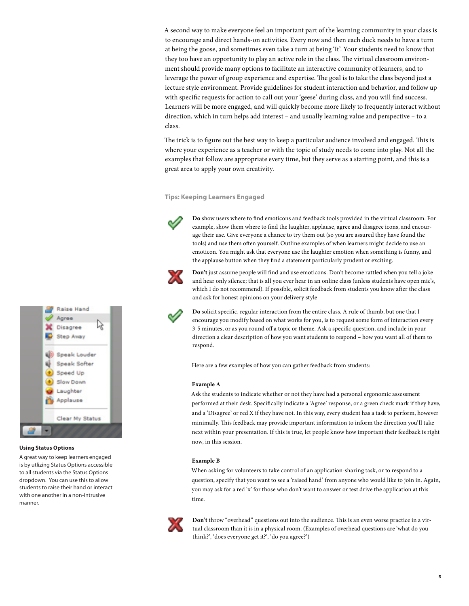A second way to make everyone feel an important part of the learning community in your class is to encourage and direct hands-on activities. Every now and then each duck needs to have a turn at being the goose, and sometimes even take a turn at being 'It'. Your students need to know that they too have an opportunity to play an active role in the class. The virtual classroom environment should provide many options to facilitate an interactive community of learners, and to leverage the power of group experience and expertise. The goal is to take the class beyond just a lecture style environment. Provide guidelines for student interaction and behavior, and follow up with specific requests for action to call out your 'geese' during class, and you will find success. Learners will be more engaged, and will quickly become more likely to frequently interact without direction, which in turn helps add interest – and usually learning value and perspective – to a class.

The trick is to figure out the best way to keep a particular audience involved and engaged. This is where your experience as a teacher or with the topic of study needs to come into play. Not all the examples that follow are appropriate every time, but they serve as a starting point, and this is a great area to apply your own creativity.

#### **Tips: Keeping Learners Engaged**



**Do** show users where to find emoticons and feedback tools provided in the virtual classroom. For example, show them where to find the laughter, applause, agree and disagree icons, and encourage their use. Give everyone a chance to try them out (so you are assured they have found the tools) and use them often yourself. Outline examples of when learners might decide to use an emoticon. You might ask that everyone use the laughter emotion when something is funny, and the applause button when they find a statement particularly prudent or exciting.



**Don't** just assume people will find and use emoticons. Don't become rattled when you tell a joke and hear only silence; that is all you ever hear in an online class (unless students have open mic's, which I do not recommend). If possible, solicit feedback from students you know after the class and ask for honest opinions on your delivery style

**Do** solicit specific, regular interaction from the entire class. A rule of thumb, but one that I encourage you modify based on what works for you, is to request some form of interaction every 3-5 minutes, or as you round off a topic or theme. Ask a specific question, and include in your direction a clear description of how you want students to respond – how you want all of them to respond.

Here are a few examples of how you can gather feedback from students:

#### **Example A**

Ask the students to indicate whether or not they have had a personal ergonomic assessment performed at their desk. Specifically indicate a 'Agree' response, or a green check mark if they have, and a 'Disagree' or red X if they have not. In this way, every student has a task to perform, however minimally. This feedback may provide important information to inform the direction you'll take next within your presentation. If this is true, let people know how important their feedback is right now, in this session.

#### **Example B**

When asking for volunteers to take control of an application-sharing task, or to respond to a question, specify that you want to see a 'raised hand' from anyone who would like to join in. Again, you may ask for a red 'x' for those who don't want to answer or test drive the application at this time.



**Don't** throw "overhead" questions out into the audience. This is an even worse practice in a virtual classroom than it is in a physical room. (Examples of overhead questions are 'what do you think?', 'does everyone get it?', 'do you agree?')



#### **Using Status Options**

A great way to keep learners engaged is by utlizing Status Options accessible to all students via the Status Options dropdown. You can use this to allow students to raise their hand or interact with one another in a non-intrusive manner.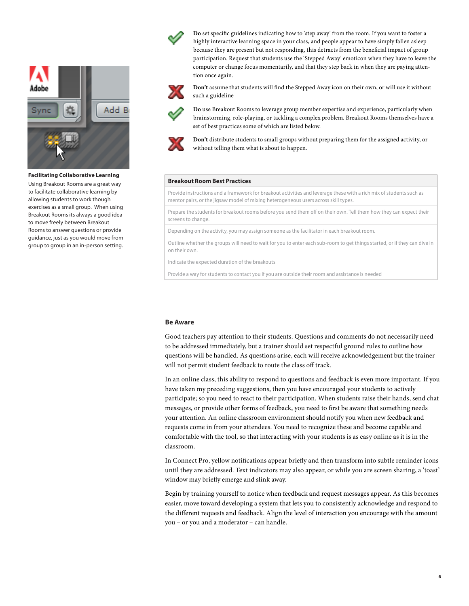

# **Facilitating Collaborative Learning**

Using Breakout Rooms are a great way to facilitate collaborative learning by allowing students to work though exercises as a small group. When using Breakout Rooms its always a good idea to move freely between Breakout Rooms to answer questions or provide guidance, just as you would move from group to group in an in-person setting.



**Do** set specific guidelines indicating how to 'step away' from the room. If you want to foster a highly interactive learning space in your class, and people appear to have simply fallen asleep because they are present but not responding, this detracts from the beneficial impact of group participation. Request that students use the 'Stepped Away' emoticon when they have to leave the computer or change focus momentarily, and that they step back in when they are paying attention once again.



**Don't** assume that students will find the Stepped Away icon on their own, or will use it without such a guideline



**Do** use Breakout Rooms to leverage group member expertise and experience, particularly when brainstorming, role-playing, or tackling a complex problem. Breakout Rooms themselves have a set of best practices some of which are listed below.



**Don't** distribute students to small groups without preparing them for the assigned activity, or without telling them what is about to happen.

# **Breakout Room Best Practices**

Provide instructions and a framework for breakout activities and leverage these with a rich mix of students such as mentor pairs, or the jigsaw model of mixing heterogeneous users across skill types.

Prepare the students for breakout rooms before you send them off on their own. Tell them how they can expect their screens to change.

Depending on the activity, you may assign someone as the facilitator in each breakout room.

Outline whether the groups will need to wait for you to enter each sub-room to get things started, or if they can dive in on their own.

Indicate the expected duration of the breakouts

Provide a way for students to contact you if you are outside their room and assistance is needed

#### **Be Aware**

Good teachers pay attention to their students. Questions and comments do not necessarily need to be addressed immediately, but a trainer should set respectful ground rules to outline how questions will be handled. As questions arise, each will receive acknowledgement but the trainer will not permit student feedback to route the class off track.

In an online class, this ability to respond to questions and feedback is even more important. If you have taken my preceding suggestions, then you have encouraged your students to actively participate; so you need to react to their participation. When students raise their hands, send chat messages, or provide other forms of feedback, you need to first be aware that something needs your attention. An online classroom environment should notify you when new feedback and requests come in from your attendees. You need to recognize these and become capable and comfortable with the tool, so that interacting with your students is as easy online as it is in the classroom.

In Connect Pro, yellow notifications appear briefly and then transform into subtle reminder icons until they are addressed. Text indicators may also appear, or while you are screen sharing, a 'toast' window may briefly emerge and slink away.

Begin by training yourself to notice when feedback and request messages appear. As this becomes easier, move toward developing a system that lets you to consistently acknowledge and respond to the different requests and feedback. Align the level of interaction you encourage with the amount you – or you and a moderator – can handle.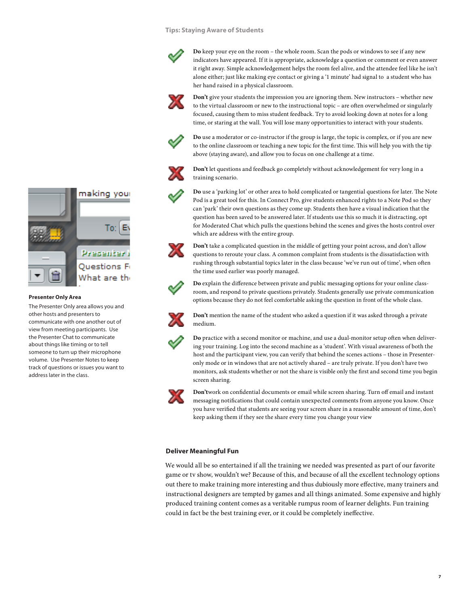# **Tips: Staying Aware of Students**



**Do** keep your eye on the room – the whole room. Scan the pods or windows to see if any new indicators have appeared. If it is appropriate, acknowledge a question or comment or even answer it right away. Simple acknowledgement helps the room feel alive, and the attendee feel like he isn't alone either; just like making eye contact or giving a '1 minute' had signal to a student who has her hand raised in a physical classroom.



**Don't** give your students the impression you are ignoring them. New instructors – whether new to the virtual classroom or new to the instructional topic – are often overwhelmed or singularly focused, causing them to miss student feedback. Try to avoid looking down at notes for a long time, or staring at the wall. You will lose many opportunities to interact with your students.



**Do** use a moderator or co-instructor if the group is large, the topic is complex, or if you are new to the online classroom or teaching a new topic for the first time. This will help you with the tip above (staying aware), and allow you to focus on one challenge at a time.



**Don't** let questions and feedback go completely without acknowledgement for very long in a training scenario.



**Do** use a 'parking lot' or other area to hold complicated or tangential questions for later. The Note Pod is a great tool for this. In Connect Pro, give students enhanced rights to a Note Pod so they can 'park' their own questions as they come up. Students then have a visual indication that the question has been saved to be answered later. If students use this so much it is distracting, opt for Moderated Chat which pulls the questions behind the scenes and gives the hosts control over which are address with the entire group.



**Don't** take a complicated question in the middle of getting your point across, and don't allow questions to reroute your class. A common complaint from students is the dissatisfaction with rushing through substantial topics later in the class because 'we've run out of time', when often the time used earlier was poorly managed.

**Do** explain the difference between private and public messaging options for your online classroom, and respond to private questions privately. Students generally use private communication options because they do not feel comfortable asking the question in front of the whole class.



**Don't** mention the name of the student who asked a question if it was asked through a private medium.



**Do** practice with a second monitor or machine, and use a dual-monitor setup often when delivering your training. Log into the second machine as a 'student'. With visual awareness of both the host and the participant view, you can verify that behind the scenes actions – those in Presenteronly mode or in windows that are not actively shared – are truly private. If you don't have two monitors, ask students whether or not the share is visible only the first and second time you begin screen sharing.



**Don't**work on confidential documents or email while screen sharing. Turn off email and instant messaging notifications that could contain unexpected comments from anyone you know. Once you have verified that students are seeing your screen share in a reasonable amount of time, don't keep asking them if they see the share every time you change your view

# **Deliver Meaningful Fun**

We would all be so entertained if all the training we needed was presented as part of our favorite game or tv show, wouldn't we? Because of this, and because of all the excellent technology options out there to make training more interesting and thus dubiously more effective, many trainers and instructional designers are tempted by games and all things animated. Some expensive and highly produced training content comes as a veritable rumpus room of learner delights. Fun training could in fact be the best training ever, or it could be completely ineffective.



#### **Presenter Only Area**

The Presenter Only area allows you and other hosts and presenters to communicate with one another out of view from meeting participants. Use the Presenter Chat to communicate about things like timing or to tell someone to turn up their microphone volume. Use Presenter Notes to keep track of questions or issues you want to address later in the class.